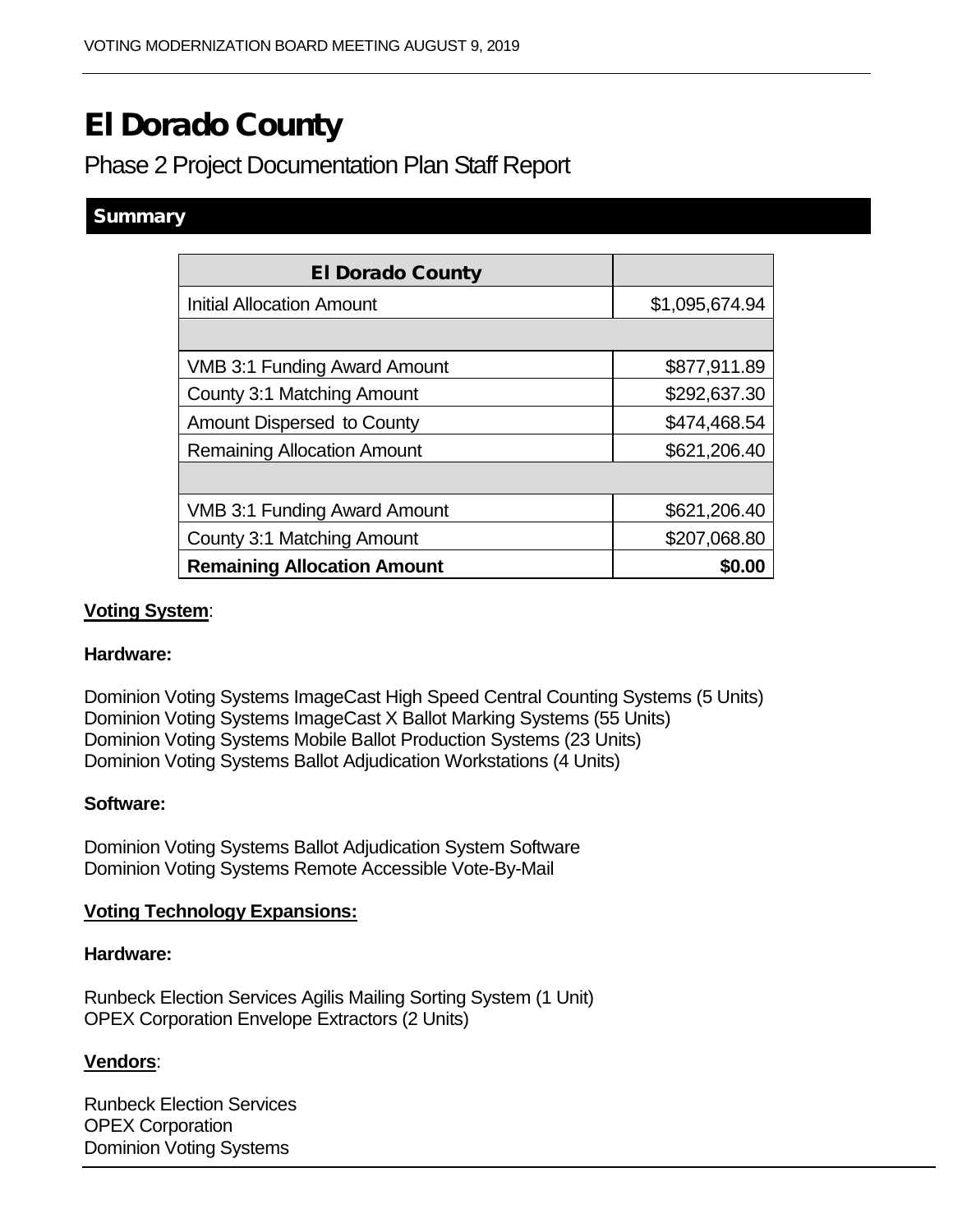# El Dorado County

# Phase 2 Project Documentation Plan Staff Report

# **Summary**

| <b>El Dorado County</b>             |                |
|-------------------------------------|----------------|
| <b>Initial Allocation Amount</b>    | \$1,095,674.94 |
|                                     |                |
| <b>VMB 3:1 Funding Award Amount</b> | \$877,911.89   |
| County 3:1 Matching Amount          | \$292,637.30   |
| <b>Amount Dispersed to County</b>   | \$474,468.54   |
| <b>Remaining Allocation Amount</b>  | \$621,206.40   |
|                                     |                |
| <b>VMB 3:1 Funding Award Amount</b> | \$621,206.40   |
| County 3:1 Matching Amount          | \$207,068.80   |
| <b>Remaining Allocation Amount</b>  | \$0.00         |

# **Voting System**:

#### **Hardware:**

Dominion Voting Systems ImageCast High Speed Central Counting Systems (5 Units) Dominion Voting Systems ImageCast X Ballot Marking Systems (55 Units) Dominion Voting Systems Mobile Ballot Production Systems (23 Units) Dominion Voting Systems Ballot Adjudication Workstations (4 Units)

#### **Software:**

Dominion Voting Systems Ballot Adjudication System Software Dominion Voting Systems Remote Accessible Vote-By-Mail

#### **Voting Technology Expansions:**

#### **Hardware:**

Runbeck Election Services Agilis Mailing Sorting System (1 Unit) OPEX Corporation Envelope Extractors (2 Units)

#### **Vendors**:

Runbeck Election Services OPEX Corporation Dominion Voting Systems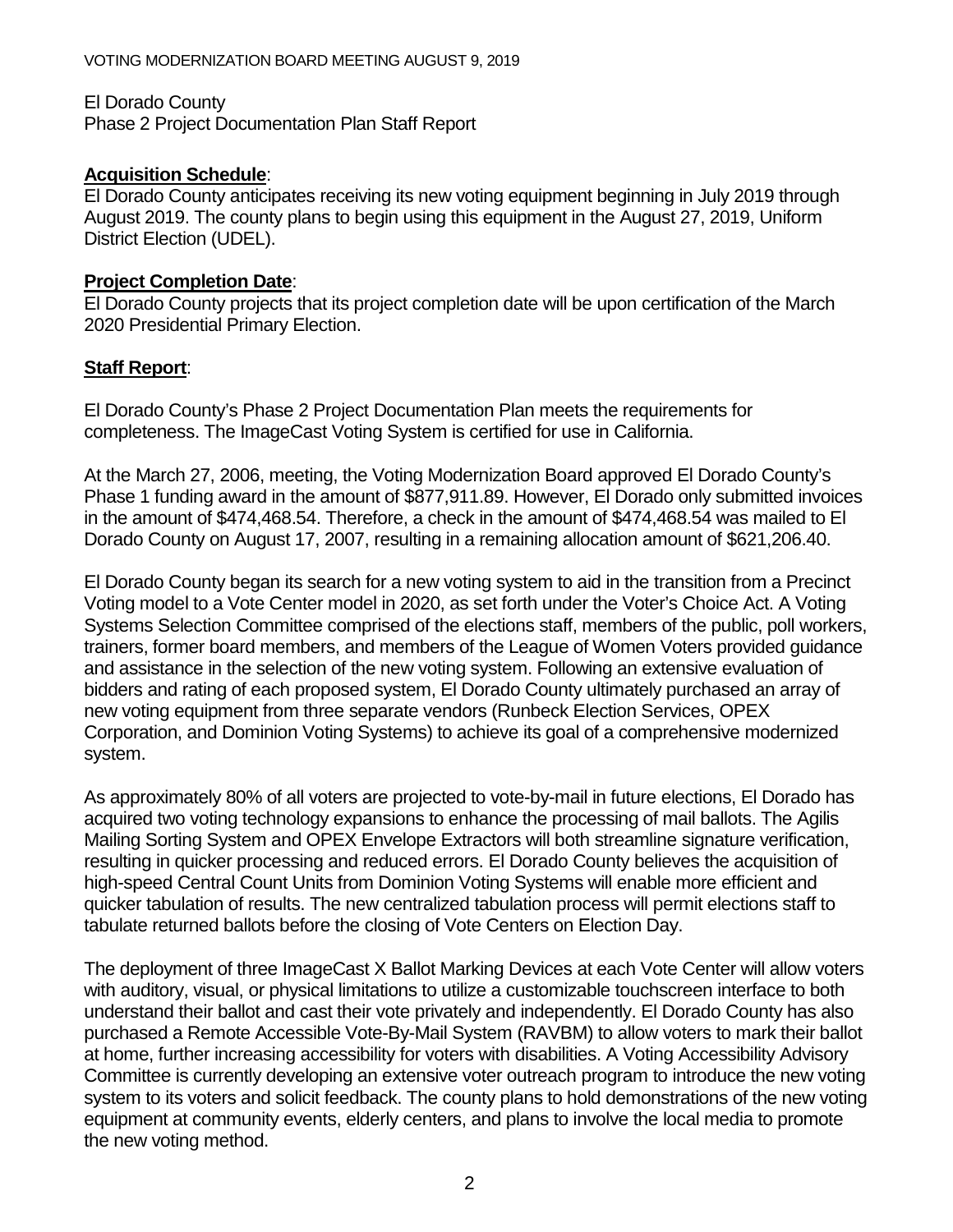#### El Dorado County

Phase 2 Project Documentation Plan Staff Report

## **Acquisition Schedule**:

El Dorado County anticipates receiving its new voting equipment beginning in July 2019 through August 2019. The county plans to begin using this equipment in the August 27, 2019, Uniform District Election (UDEL).

## **Project Completion Date**:

El Dorado County projects that its project completion date will be upon certification of the March 2020 Presidential Primary Election.

# **Staff Report**:

El Dorado County's Phase 2 Project Documentation Plan meets the requirements for completeness. The ImageCast Voting System is certified for use in California.

At the March 27, 2006, meeting, the Voting Modernization Board approved El Dorado County's Phase 1 funding award in the amount of \$877,911.89. However, El Dorado only submitted invoices in the amount of \$474,468.54. Therefore, a check in the amount of \$474,468.54 was mailed to El Dorado County on August 17, 2007, resulting in a remaining allocation amount of \$621,206.40.

El Dorado County began its search for a new voting system to aid in the transition from a Precinct Voting model to a Vote Center model in 2020, as set forth under the Voter's Choice Act. A Voting Systems Selection Committee comprised of the elections staff, members of the public, poll workers, trainers, former board members, and members of the League of Women Voters provided guidance and assistance in the selection of the new voting system. Following an extensive evaluation of bidders and rating of each proposed system, El Dorado County ultimately purchased an array of new voting equipment from three separate vendors (Runbeck Election Services, OPEX Corporation, and Dominion Voting Systems) to achieve its goal of a comprehensive modernized system.

As approximately 80% of all voters are projected to vote-by-mail in future elections, El Dorado has acquired two voting technology expansions to enhance the processing of mail ballots. The Agilis Mailing Sorting System and OPEX Envelope Extractors will both streamline signature verification, resulting in quicker processing and reduced errors. El Dorado County believes the acquisition of high-speed Central Count Units from Dominion Voting Systems will enable more efficient and quicker tabulation of results. The new centralized tabulation process will permit elections staff to tabulate returned ballots before the closing of Vote Centers on Election Day.

The deployment of three ImageCast X Ballot Marking Devices at each Vote Center will allow voters with auditory, visual, or physical limitations to utilize a customizable touchscreen interface to both understand their ballot and cast their vote privately and independently. El Dorado County has also purchased a Remote Accessible Vote-By-Mail System (RAVBM) to allow voters to mark their ballot at home, further increasing accessibility for voters with disabilities. A Voting Accessibility Advisory Committee is currently developing an extensive voter outreach program to introduce the new voting system to its voters and solicit feedback. The county plans to hold demonstrations of the new voting equipment at community events, elderly centers, and plans to involve the local media to promote the new voting method.